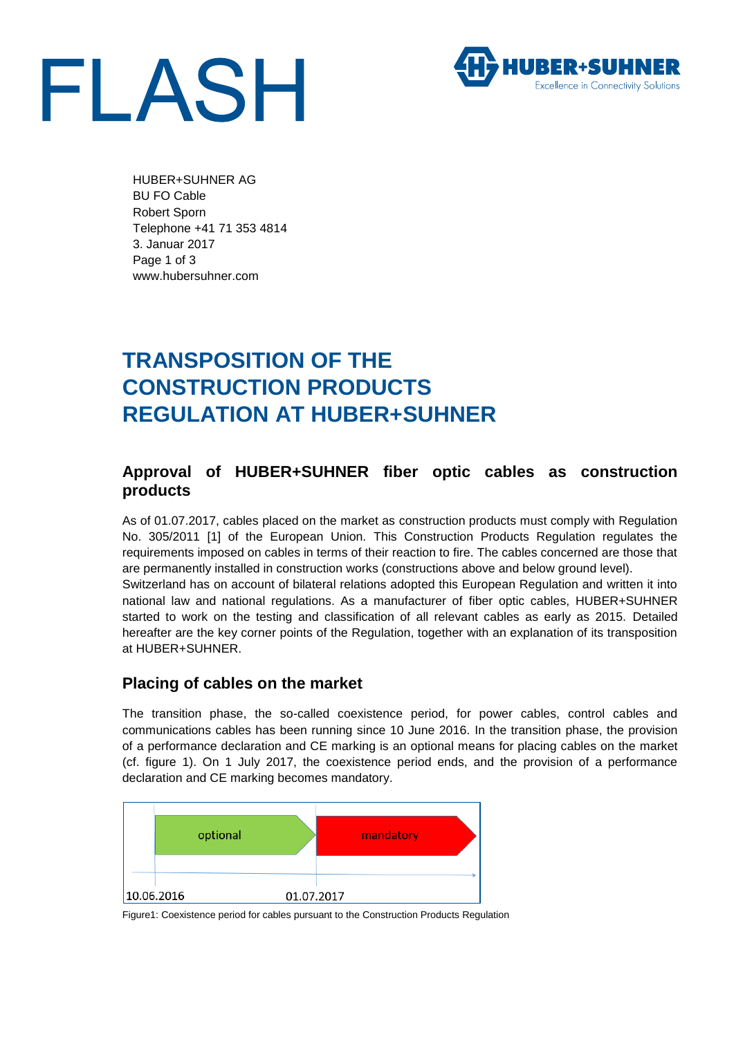



HUBER+SUHNER AG BU FO Cable Robert Sporn Telephone +41 71 353 4814 3. Januar 2017 Page 1 of 3 www.hubersuhner.com

# **TRANSPOSITION OF THE CONSTRUCTION PRODUCTS REGULATION AT HUBER+SUHNER**

### **Approval of HUBER+SUHNER fiber optic cables as construction products**

As of 01.07.2017, cables placed on the market as construction products must comply with Regulation No. 305/2011 [1] of the European Union. This Construction Products Regulation regulates the requirements imposed on cables in terms of their reaction to fire. The cables concerned are those that are permanently installed in construction works (constructions above and below ground level). Switzerland has on account of bilateral relations adopted this European Regulation and written it into

national law and national regulations. As a manufacturer of fiber optic cables, HUBER+SUHNER started to work on the testing and classification of all relevant cables as early as 2015. Detailed hereafter are the key corner points of the Regulation, together with an explanation of its transposition at HUBER+SUHNER.

#### **Placing of cables on the market**

The transition phase, the so-called coexistence period, for power cables, control cables and communications cables has been running since 10 June 2016. In the transition phase, the provision of a performance declaration and CE marking is an optional means for placing cables on the market (cf. figure 1). On 1 July 2017, the coexistence period ends, and the provision of a performance declaration and CE marking becomes mandatory.



Figure1: Coexistence period for cables pursuant to the Construction Products Regulation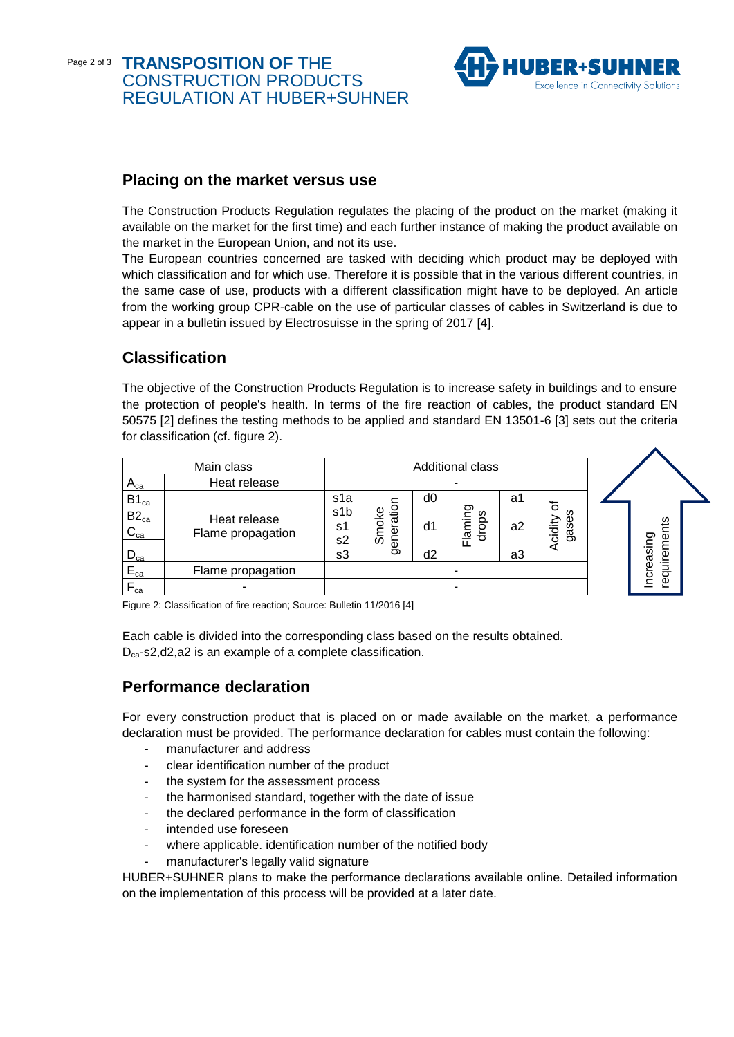#### Page 2 of 3 **TRANSPOSITION OF** THE CONSTRUCTION PRODUCTS REGULATION AT HUBER+SUHNER



#### **Placing on the market versus use**

The Construction Products Regulation regulates the placing of the product on the market (making it available on the market for the first time) and each further instance of making the product available on the market in the European Union, and not its use.

The European countries concerned are tasked with deciding which product may be deployed with which classification and for which use. Therefore it is possible that in the various different countries, in the same case of use, products with a different classification might have to be deployed. An article from the working group CPR-cable on the use of particular classes of cables in Switzerland is due to appear in a bulletin issued by Electrosuisse in the spring of 2017 [4].

#### **Classification**

The objective of the Construction Products Regulation is to increase safety in buildings and to ensure the protection of people's health. In terms of the fire reaction of cables, the product standard EN 50575 [2] defines the testing methods to be applied and standard EN 13501-6 [3] sets out the criteria for classification (cf. figure 2).

| Main class            |                                   |                         | <b>Additional class</b> |    |                  |                |                    |  |           |  |
|-----------------------|-----------------------------------|-------------------------|-------------------------|----|------------------|----------------|--------------------|--|-----------|--|
| $A_{ca}$              | Heat release                      |                         |                         |    |                  |                |                    |  |           |  |
| $B1_{ca}$             |                                   | s1a<br>s <sub>1</sub> b |                         | d0 |                  | a1             | ঌ<br>ഗ             |  |           |  |
| $B2_{ca}$<br>$C_{ca}$ | Heat release<br>Flame propagation | s1<br>s <sub>2</sub>    | ration<br>Smoke<br>gene | d1 | Flaming<br>drops | a <sub>2</sub> | Φ<br>cidity<br>gas |  | uirements |  |
| $D_{ca}$              |                                   | s3                      |                         | d2 |                  | a3             |                    |  |           |  |
| $E_{ca}$              | Flame propagation                 |                         |                         |    |                  |                |                    |  | ncreasing |  |
| $F_{ca}$              | -                                 |                         |                         |    | ۰                |                |                    |  | req       |  |

Figure 2: Classification of fire reaction; Source: Bulletin 11/2016 [4]

Each cable is divided into the corresponding class based on the results obtained. D<sub>ca</sub>-s2,d2,a2 is an example of a complete classification.

#### **Performance declaration**

For every construction product that is placed on or made available on the market, a performance declaration must be provided. The performance declaration for cables must contain the following:

- manufacturer and address
- clear identification number of the product
- the system for the assessment process
- the harmonised standard, together with the date of issue
- the declared performance in the form of classification
- intended use foreseen
- where applicable. identification number of the notified body
- manufacturer's legally valid signature

HUBER+SUHNER plans to make the performance declarations available online. Detailed information on the implementation of this process will be provided at a later date.